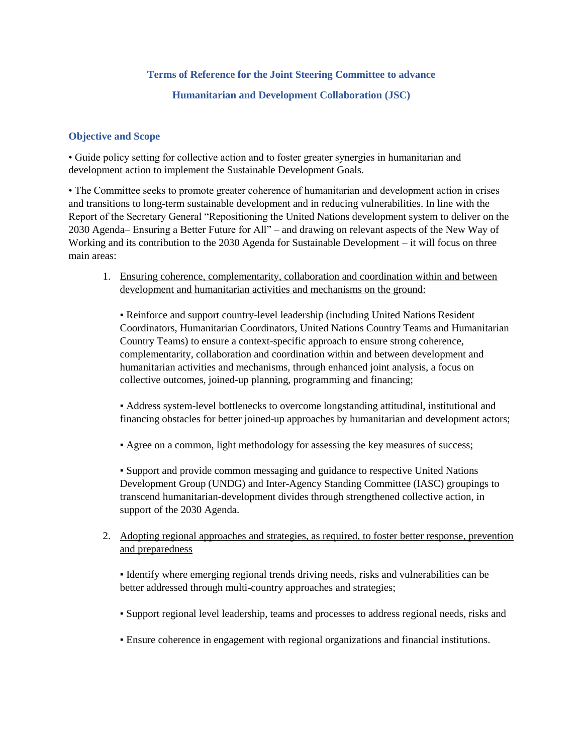## **Terms of Reference for the Joint Steering Committee to advance**

**Humanitarian and Development Collaboration (JSC)**

#### **Objective and Scope**

• Guide policy setting for collective action and to foster greater synergies in humanitarian and development action to implement the Sustainable Development Goals.

• The Committee seeks to promote greater coherence of humanitarian and development action in crises and transitions to long-term sustainable development and in reducing vulnerabilities. In line with the Report of the Secretary General "Repositioning the United Nations development system to deliver on the 2030 Agenda– Ensuring a Better Future for All" – and drawing on relevant aspects of the New Way of Working and its contribution to the 2030 Agenda for Sustainable Development – it will focus on three main areas:

1. Ensuring coherence, complementarity, collaboration and coordination within and between development and humanitarian activities and mechanisms on the ground:

▪ Reinforce and support country-level leadership (including United Nations Resident Coordinators, Humanitarian Coordinators, United Nations Country Teams and Humanitarian Country Teams) to ensure a context-specific approach to ensure strong coherence, complementarity, collaboration and coordination within and between development and humanitarian activities and mechanisms, through enhanced joint analysis, a focus on collective outcomes, joined-up planning, programming and financing;

▪ Address system-level bottlenecks to overcome longstanding attitudinal, institutional and financing obstacles for better joined-up approaches by humanitarian and development actors;

• Agree on a common, light methodology for assessing the key measures of success;

▪ Support and provide common messaging and guidance to respective United Nations Development Group (UNDG) and Inter-Agency Standing Committee (IASC) groupings to transcend humanitarian-development divides through strengthened collective action, in support of the 2030 Agenda.

# 2. Adopting regional approaches and strategies, as required, to foster better response, prevention and preparedness

▪ Identify where emerging regional trends driving needs, risks and vulnerabilities can be better addressed through multi-country approaches and strategies;

- Support regional level leadership, teams and processes to address regional needs, risks and
- Ensure coherence in engagement with regional organizations and financial institutions.